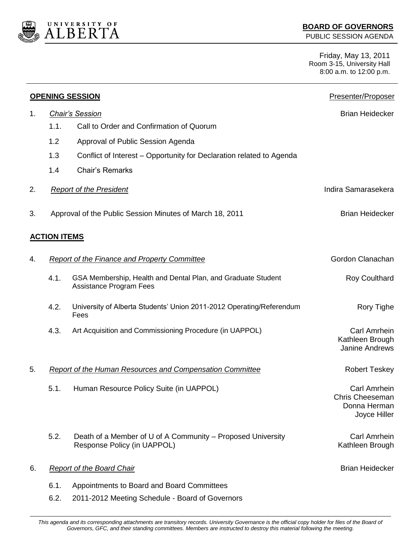

PUBLIC SESSION AGENDA

Friday, May 13, 2011 Room 3-15, University Hall 8:00 a.m. to 12:00 p.m.

|    |                                                     | <b>OPENING SESSION</b>                                                                         | Presenter/Proposer                                                     |
|----|-----------------------------------------------------|------------------------------------------------------------------------------------------------|------------------------------------------------------------------------|
| 1. | <b>Chair's Session</b>                              |                                                                                                | <b>Brian Heidecker</b>                                                 |
|    | 1.1.                                                | Call to Order and Confirmation of Quorum                                                       |                                                                        |
|    | 1.2                                                 | Approval of Public Session Agenda                                                              |                                                                        |
|    | 1.3                                                 | Conflict of Interest – Opportunity for Declaration related to Agenda                           |                                                                        |
|    | 1.4                                                 | <b>Chair's Remarks</b>                                                                         |                                                                        |
| 2. |                                                     | <b>Report of the President</b>                                                                 | Indira Samarasekera                                                    |
| 3. |                                                     | Approval of the Public Session Minutes of March 18, 2011                                       | <b>Brian Heidecker</b>                                                 |
|    | <b>ACTION ITEMS</b>                                 |                                                                                                |                                                                        |
| 4. | <b>Report of the Finance and Property Committee</b> |                                                                                                | Gordon Clanachan                                                       |
|    | 4.1.                                                | GSA Membership, Health and Dental Plan, and Graduate Student<br><b>Assistance Program Fees</b> | <b>Roy Coulthard</b>                                                   |
|    | 4.2.                                                | University of Alberta Students' Union 2011-2012 Operating/Referendum<br>Fees                   | Rory Tighe                                                             |
|    | 4.3.                                                | Art Acquisition and Commissioning Procedure (in UAPPOL)                                        | <b>Carl Amrhein</b><br>Kathleen Brough<br><b>Janine Andrews</b>        |
| 5. |                                                     | <b>Report of the Human Resources and Compensation Committee</b>                                | <b>Robert Teskey</b>                                                   |
|    | 5.1.                                                | Human Resource Policy Suite (in UAPPOL)                                                        | <b>Carl Amrhein</b><br>Chris Cheeseman<br>Donna Herman<br>Joyce Hiller |
|    | 5.2.                                                | Death of a Member of U of A Community – Proposed University<br>Response Policy (in UAPPOL)     | Carl Amrhein<br>Kathleen Brough                                        |
| 6. | <b>Report of the Board Chair</b>                    |                                                                                                | <b>Brian Heidecker</b>                                                 |
|    | 6.1.                                                | Appointments to Board and Board Committees                                                     |                                                                        |
|    | 6.2.                                                | 2011-2012 Meeting Schedule - Board of Governors                                                |                                                                        |

This agenda and its corresponding attachments are transitory records. University Governance is the official copy holder for files of the Board of *Governors, GFC, and their standing committees. Members are instructed to destroy this material following the meeting.*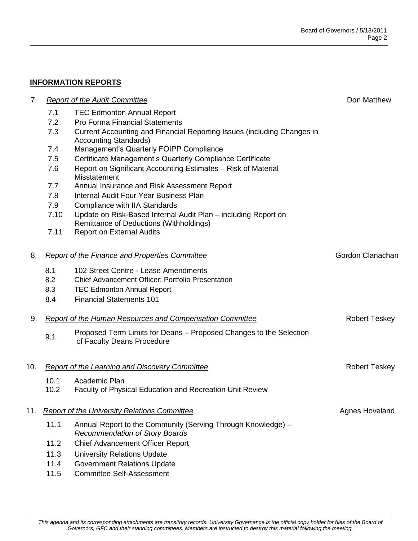## **INFORMATION REPORTS**

| 7.  |                                                                 | <b>Report of the Audit Committee</b>                                                                      |                      |
|-----|-----------------------------------------------------------------|-----------------------------------------------------------------------------------------------------------|----------------------|
|     | 7.1                                                             | <b>TEC Edmonton Annual Report</b>                                                                         |                      |
|     | 7.2                                                             | <b>Pro Forma Financial Statements</b>                                                                     |                      |
|     | 7.3                                                             | Current Accounting and Financial Reporting Issues (including Changes in<br><b>Accounting Standards)</b>   |                      |
|     | 7.4                                                             | Management's Quarterly FOIPP Compliance                                                                   |                      |
|     | 7.5                                                             | Certificate Management's Quarterly Compliance Certificate                                                 |                      |
|     | 7.6                                                             | Report on Significant Accounting Estimates - Risk of Material<br>Misstatement                             |                      |
|     | 7.7                                                             | Annual Insurance and Risk Assessment Report                                                               |                      |
|     | 7.8                                                             | Internal Audit Four Year Business Plan                                                                    |                      |
|     | 7.9                                                             | Compliance with IIA Standards                                                                             |                      |
|     | 7.10                                                            | Update on Risk-Based Internal Audit Plan - including Report on<br>Remittance of Deductions (Withholdings) |                      |
|     | 7.11                                                            | <b>Report on External Audits</b>                                                                          |                      |
| 8.  | <b>Report of the Finance and Properties Committee</b>           |                                                                                                           | Gordon Clanachan     |
|     | 8.1                                                             | 102 Street Centre - Lease Amendments                                                                      |                      |
|     | 8.2                                                             | <b>Chief Advancement Officer: Portfolio Presentation</b>                                                  |                      |
|     | 8.3                                                             | <b>TEC Edmonton Annual Report</b>                                                                         |                      |
|     | 8.4                                                             | <b>Financial Statements 101</b>                                                                           |                      |
| 9.  | <b>Report of the Human Resources and Compensation Committee</b> |                                                                                                           | <b>Robert Teskey</b> |
|     | 9.1                                                             | Proposed Term Limits for Deans – Proposed Changes to the Selection<br>of Faculty Deans Procedure          |                      |
| 10. | <b>Report of the Learning and Discovery Committee</b>           |                                                                                                           | <b>Robert Teskey</b> |
|     | 10.1                                                            | Academic Plan                                                                                             |                      |
|     | 10.2                                                            | <b>Faculty of Physical Education and Recreation Unit Review</b>                                           |                      |
| 11. | <b>Report of the University Relations Committee</b>             |                                                                                                           | Agnes Hoveland       |
|     | 11.1                                                            | Annual Report to the Community (Serving Through Knowledge) -<br><b>Recommendation of Story Boards</b>     |                      |
|     | 11.2                                                            | <b>Chief Advancement Officer Report</b>                                                                   |                      |
|     | 11.3                                                            | <b>University Relations Update</b>                                                                        |                      |
|     | 11.4                                                            | <b>Government Relations Update</b>                                                                        |                      |

11.5 Committee Self-Assessment